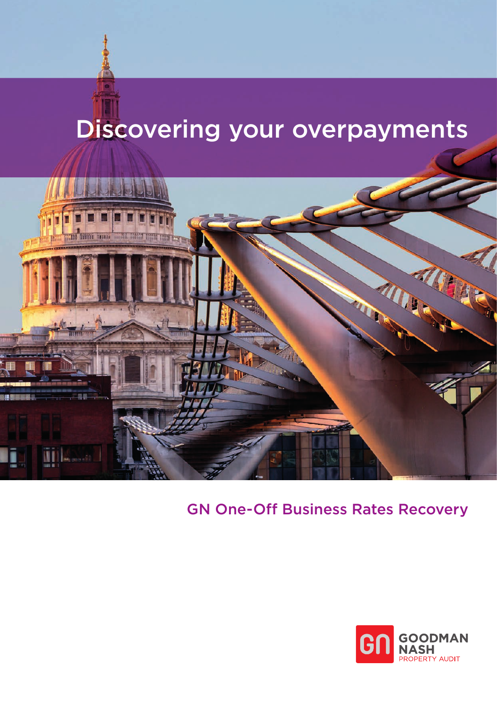# Discovering your overpayments



## GN One-Off Business Rates Recovery

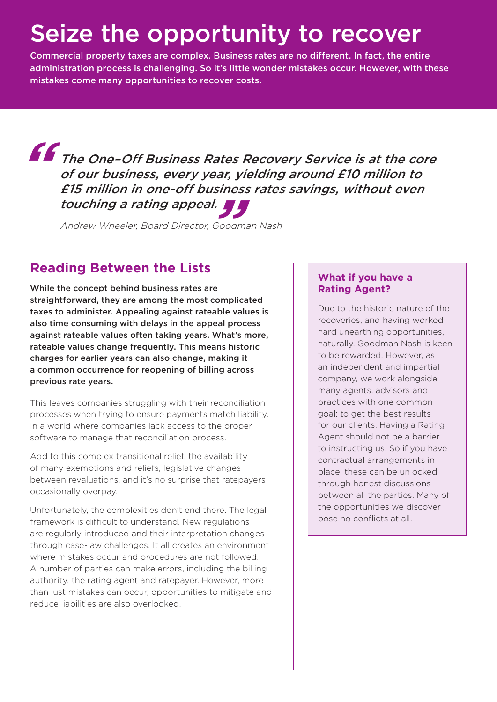# Seize the opportunity to recover

Commercial property taxes are complex. Business rates are no different. In fact, the entire administration process is challenging. So it's little wonder mistakes occur. However, with these mistakes come many opportunities to recover costs.

The One–Off Business Rates Recovery Service is at the core **"**of our business, every year, yielding around £10 million to £15 million in one-off business rates savings, without even **"** touching a rating appeal.

Andrew Wheeler, Board Director, Goodman Nash

### **Reading Between the Lists**

While the concept behind business rates are straightforward, they are among the most complicated taxes to administer. Appealing against rateable values is also time consuming with delays in the appeal process against rateable values often taking years. What's more, rateable values change frequently. This means historic charges for earlier years can also change, making it a common occurrence for reopening of billing across previous rate years.

This leaves companies struggling with their reconciliation processes when trying to ensure payments match liability. In a world where companies lack access to the proper software to manage that reconciliation process.

Add to this complex transitional relief, the availability of many exemptions and reliefs, legislative changes between revaluations, and it's no surprise that ratepayers occasionally overpay.

Unfortunately, the complexities don't end there. The legal framework is difficult to understand. New regulations are regularly introduced and their interpretation changes through case-law challenges. It all creates an environment where mistakes occur and procedures are not followed. A number of parties can make errors, including the billing authority, the rating agent and ratepayer. However, more than just mistakes can occur, opportunities to mitigate and reduce liabilities are also overlooked.

#### **What if you have a Rating Agent?**

Due to the historic nature of the recoveries, and having worked hard unearthing opportunities, naturally, Goodman Nash is keen to be rewarded. However, as an independent and impartial company, we work alongside many agents, advisors and practices with one common goal: to get the best results for our clients. Having a Rating Agent should not be a barrier to instructing us. So if you have contractual arrangements in place, these can be unlocked through honest discussions between all the parties. Many of the opportunities we discover pose no conflicts at all.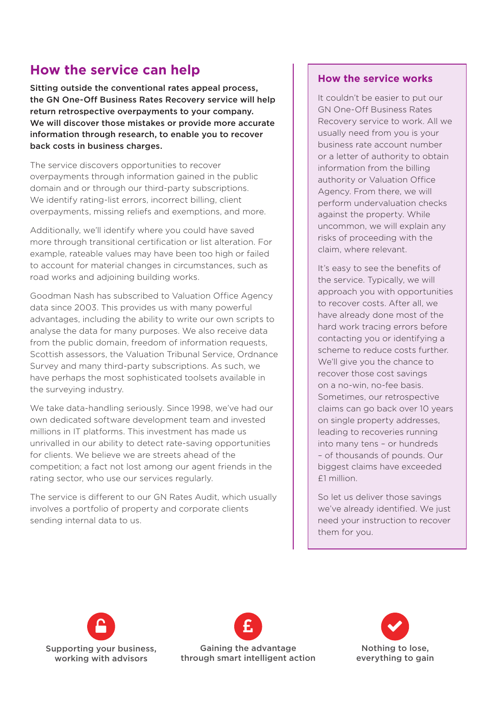### **How the service can help**

Sitting outside the conventional rates appeal process, the GN One-Off Business Rates Recovery service will help return retrospective overpayments to your company. We will discover those mistakes or provide more accurate information through research, to enable you to recover back costs in business charges.

The service discovers opportunities to recover overpayments through information gained in the public domain and or through our third-party subscriptions. We identify rating-list errors, incorrect billing, client overpayments, missing reliefs and exemptions, and more.

Additionally, we'll identify where you could have saved more through transitional certification or list alteration. For example, rateable values may have been too high or failed to account for material changes in circumstances, such as road works and adjoining building works.

Goodman Nash has subscribed to Valuation Office Agency data since 2003. This provides us with many powerful advantages, including the ability to write our own scripts to analyse the data for many purposes. We also receive data from the public domain, freedom of information requests, Scottish assessors, the Valuation Tribunal Service, Ordnance Survey and many third-party subscriptions. As such, we have perhaps the most sophisticated toolsets available in the surveying industry.

We take data-handling seriously. Since 1998, we've had our own dedicated software development team and invested millions in IT platforms. This investment has made us unrivalled in our ability to detect rate-saving opportunities for clients. We believe we are streets ahead of the competition; a fact not lost among our agent friends in the rating sector, who use our services regularly.

The service is different to our GN Rates Audit, which usually involves a portfolio of property and corporate clients sending internal data to us.

#### **How the service works**

It couldn't be easier to put our GN One-Off Business Rates Recovery service to work. All we usually need from you is your business rate account number or a letter of authority to obtain information from the billing authority or Valuation Office Agency. From there, we will perform undervaluation checks against the property. While uncommon, we will explain any risks of proceeding with the claim, where relevant.

It's easy to see the benefits of the service. Typically, we will approach you with opportunities to recover costs. After all, we have already done most of the hard work tracing errors before contacting you or identifying a scheme to reduce costs further. We'll give you the chance to recover those cost savings on a no-win, no-fee basis. Sometimes, our retrospective claims can go back over 10 years on single property addresses, leading to recoveries running into many tens – or hundreds – of thousands of pounds. Our biggest claims have exceeded £1 million.

So let us deliver those savings we've already identified. We just need your instruction to recover them for you.

L



£ through smart intelligent action Gaining the advantage